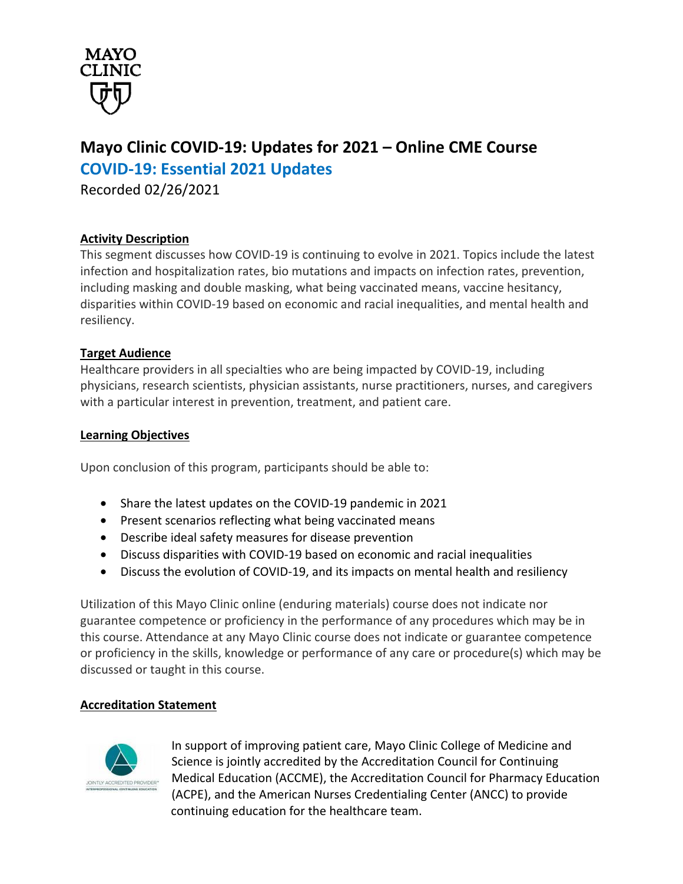

# **Mayo Clinic COVID-19: Updates for 2021 – Online CME Course COVID-19: Essential 2021 Updates**

Recorded 02/26/2021

# **Activity Description**

This segment discusses how COVID-19 is continuing to evolve in 2021. Topics include the latest infection and hospitalization rates, bio mutations and impacts on infection rates, prevention, including masking and double masking, what being vaccinated means, vaccine hesitancy, disparities within COVID-19 based on economic and racial inequalities, and mental health and resiliency.

## **Target Audience**

Healthcare providers in all specialties who are being impacted by COVID-19, including physicians, research scientists, physician assistants, nurse practitioners, nurses, and caregivers with a particular interest in prevention, treatment, and patient care.

#### **Learning Objectives**

Upon conclusion of this program, participants should be able to:

- Share the latest updates on the COVID-19 pandemic in 2021
- Present scenarios reflecting what being vaccinated means
- Describe ideal safety measures for disease prevention
- Discuss disparities with COVID-19 based on economic and racial inequalities
- Discuss the evolution of COVID-19, and its impacts on mental health and resiliency

Utilization of this Mayo Clinic online (enduring materials) course does not indicate nor guarantee competence or proficiency in the performance of any procedures which may be in this course. Attendance at any Mayo Clinic course does not indicate or guarantee competence or proficiency in the skills, knowledge or performance of any care or procedure(s) which may be discussed or taught in this course.

## **Accreditation Statement**



In support of improving patient care, Mayo Clinic College of Medicine and Science is jointly accredited by the Accreditation Council for Continuing Medical Education (ACCME), the Accreditation Council for Pharmacy Education (ACPE), and the American Nurses Credentialing Center (ANCC) to provide continuing education for the healthcare team.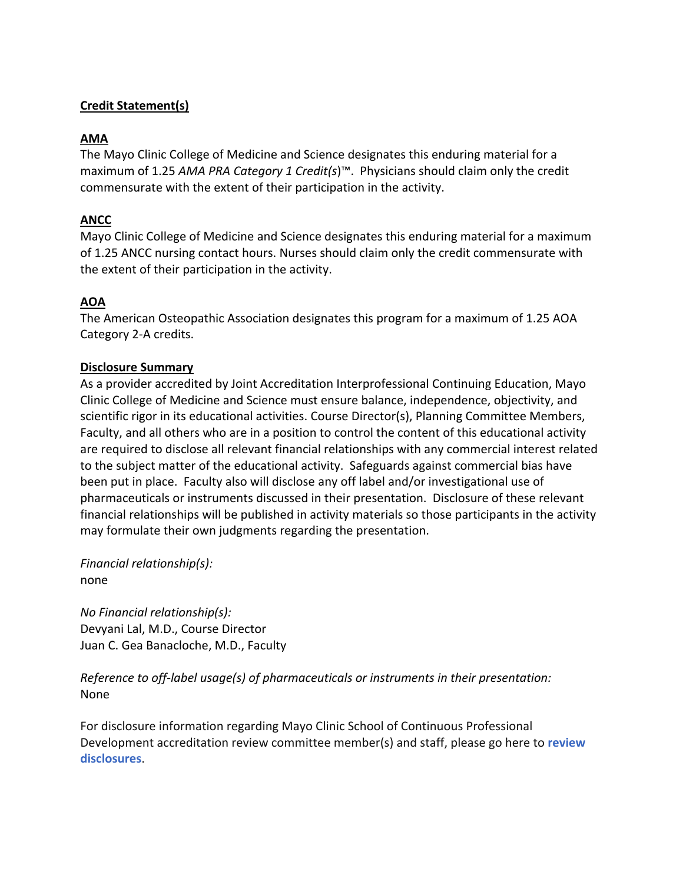# **Credit Statement(s)**

## **AMA**

The Mayo Clinic College of Medicine and Science designates this enduring material for a maximum of 1.25 *AMA PRA Category 1 Credit(s*)™. Physicians should claim only the credit commensurate with the extent of their participation in the activity.

## **ANCC**

Mayo Clinic College of Medicine and Science designates this enduring material for a maximum of 1.25 ANCC nursing contact hours. Nurses should claim only the credit commensurate with the extent of their participation in the activity.

## **AOA**

The American Osteopathic Association designates this program for a maximum of 1.25 AOA Category 2-A credits.

## **Disclosure Summary**

As a provider accredited by Joint Accreditation Interprofessional Continuing Education, Mayo Clinic College of Medicine and Science must ensure balance, independence, objectivity, and scientific rigor in its educational activities. Course Director(s), Planning Committee Members, Faculty, and all others who are in a position to control the content of this educational activity are required to disclose all relevant financial relationships with any commercial interest related to the subject matter of the educational activity. Safeguards against commercial bias have been put in place. Faculty also will disclose any off label and/or investigational use of pharmaceuticals or instruments discussed in their presentation. Disclosure of these relevant financial relationships will be published in activity materials so those participants in the activity may formulate their own judgments regarding the presentation.

*Financial relationship(s):*  none

*No Financial relationship(s):*  Devyani Lal, M.D., Course Director Juan C. Gea Banacloche, M.D., Faculty

*Reference to off-label usage(s) of pharmaceuticals or instruments in their presentation:*  None

For disclosure information regarding Mayo Clinic School of Continuous Professional Development accreditation review committee member(s) and staff, please go here to **review disclosures**.